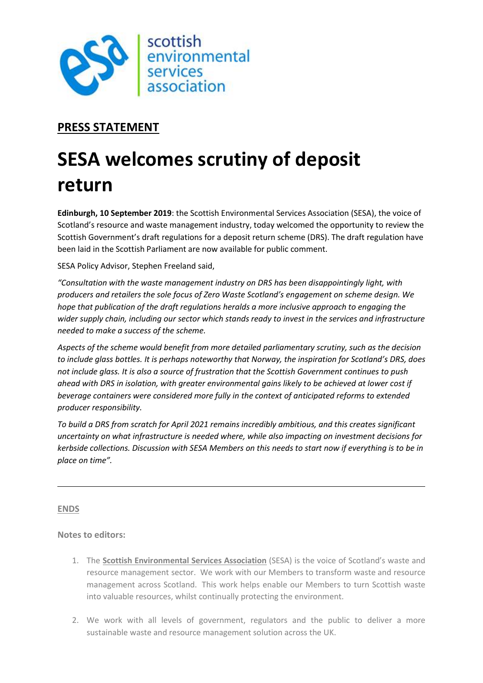

## PRESS STATEMENT

## SESA welcomes scrutiny of deposit return

Edinburgh, 10 September 2019: the Scottish Environmental Services Association (SESA), the voice of Scotland's resource and waste management industry, today welcomed the opportunity to review the Scottish Government's draft regulations for a deposit return scheme (DRS). The draft regulation have been laid in the Scottish Parliament are now available for public comment.

SESA Policy Advisor, Stephen Freeland said,

"Consultation with the waste management industry on DRS has been disappointingly light, with producers and retailers the sole focus of Zero Waste Scotland's engagement on scheme design. We hope that publication of the draft regulations heralds a more inclusive approach to engaging the wider supply chain, including our sector which stands ready to invest in the services and infrastructure needed to make a success of the scheme.

Aspects of the scheme would benefit from more detailed parliamentary scrutiny, such as the decision to include glass bottles. It is perhaps noteworthy that Norway, the inspiration for Scotland's DRS, does not include glass. It is also a source of frustration that the Scottish Government continues to push ahead with DRS in isolation, with greater environmental gains likely to be achieved at lower cost if beverage containers were considered more fully in the context of anticipated reforms to extended producer responsibility.

To build a DRS from scratch for April 2021 remains incredibly ambitious, and this creates significant uncertainty on what infrastructure is needed where, while also impacting on investment decisions for kerbside collections. Discussion with SESA Members on this needs to start now if everything is to be in place on time".

## ENDS

Notes to editors:

- 1. The Scottish Environmental Services Association (SESA) is the voice of Scotland's waste and resource management sector. We work with our Members to transform waste and resource management across Scotland. This work helps enable our Members to turn Scottish waste into valuable resources, whilst continually protecting the environment.
- 2. We work with all levels of government, regulators and the public to deliver a more sustainable waste and resource management solution across the UK.